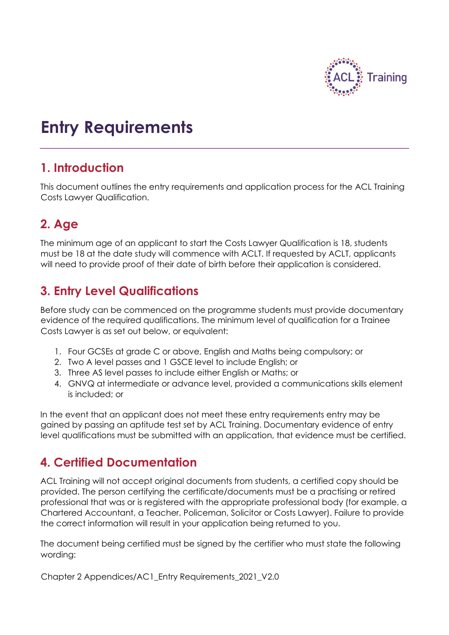

# **Entry Requirements**

#### **1. Introduction**

This document outlines the entry requirements and application process for the ACL Training Costs Lawyer Qualification.

## **2. Age**

The minimum age of an applicant to start the Costs Lawyer Qualification is 18, students must be 18 at the date study will commence with ACLT. If requested by ACLT, applicants will need to provide proof of their date of birth before their application is considered.

### **3. Entry Level Qualifications**

Before study can be commenced on the programme students must provide documentary evidence of the required qualifications. The minimum level of qualification for a Trainee Costs Lawyer is as set out below, or equivalent:

- 1. Four GCSEs at grade C or above, English and Maths being compulsory; or
- 2. Two A level passes and 1 GSCE level to include English; or
- 3. Three AS level passes to include either English or Maths; or
- 4. GNVQ at intermediate or advance level, provided a communications skills element is included; or

In the event that an applicant does not meet these entry requirements entry may be gained by passing an aptitude test set by ACL Training. Documentary evidence of entry level qualifications must be submitted with an application, that evidence must be certified.

#### **4. Certified Documentation**

ACL Training will not accept original documents from students, a certified copy should be provided. The person certifying the certificate/documents must be a practising or retired professional that was or is registered with the appropriate professional body (for example, a Chartered Accountant, a Teacher, Policeman, Solicitor or Costs Lawyer). Failure to provide the correct information will result in your application being returned to you.

The document being certified must be signed by the certifier who must state the following wording:

Chapter 2 Appendices/AC1\_Entry Requirements\_2021\_V2.0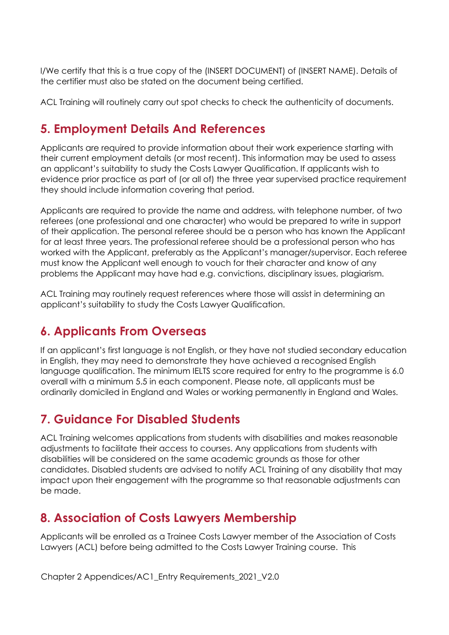I/We certify that this is a true copy of the (INSERT DOCUMENT) of (INSERT NAME). Details of the certifier must also be stated on the document being certified.

ACL Training will routinely carry out spot checks to check the authenticity of documents.

#### **5. Employment Details And References**

Applicants are required to provide information about their work experience starting with their current employment details (or most recent). This information may be used to assess an applicant's suitability to study the Costs Lawyer Qualification. If applicants wish to evidence prior practice as part of (or all of) the three year supervised practice requirement they should include information covering that period.

Applicants are required to provide the name and address, with telephone number, of two referees (one professional and one character) who would be prepared to write in support of their application. The personal referee should be a person who has known the Applicant for at least three years. The professional referee should be a professional person who has worked with the Applicant, preferably as the Applicant's manager/supervisor. Each referee must know the Applicant well enough to vouch for their character and know of any problems the Applicant may have had e.g. convictions, disciplinary issues, plagiarism.

ACL Training may routinely request references where those will assist in determining an applicant's suitability to study the Costs Lawyer Qualification.

#### **6. Applicants From Overseas**

If an applicant's first language is not English, or they have not studied secondary education in English, they may need to demonstrate they have achieved a recognised English language qualification. The minimum IELTS score required for entry to the programme is 6.0 overall with a minimum 5.5 in each component. Please note, all applicants must be ordinarily domiciled in England and Wales or working permanently in England and Wales.

## **7. Guidance For Disabled Students**

ACL Training welcomes applications from students with disabilities and makes reasonable adjustments to facilitate their access to courses. Any applications from students with disabilities will be considered on the same academic grounds as those for other candidates. Disabled students are advised to notify ACL Training of any disability that may impact upon their engagement with the programme so that reasonable adjustments can be made.

#### **8. Association of Costs Lawyers Membership**

Applicants will be enrolled as a Trainee Costs Lawyer member of the Association of Costs Lawyers (ACL) before being admitted to the Costs Lawyer Training course. This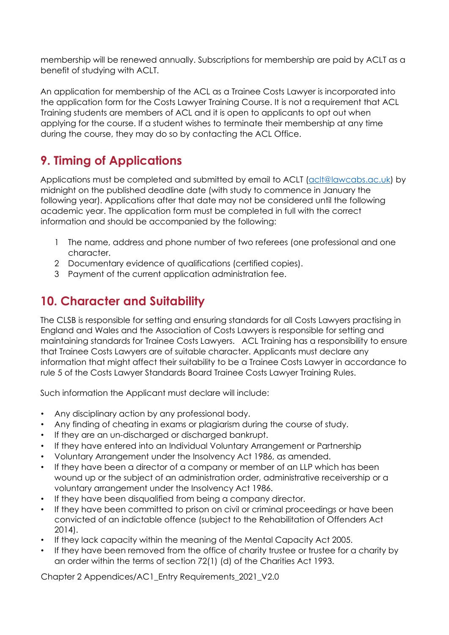membership will be renewed annually. Subscriptions for membership are paid by ACLT as a benefit of studying with ACLT.

An application for membership of the ACL as a Trainee Costs Lawyer is incorporated into the application form for the Costs Lawyer Training Course. It is not a requirement that ACL Training students are members of ACL and it is open to applicants to opt out when applying for the course. If a student wishes to terminate their membership at any time during the course, they may do so by contacting the ACL Office.

# **9. Timing of Applications**

Applications must be completed and submitted by email to ACLT [\(aclt@lawcabs.ac.uk\)](file:///C:/Users/Rmbra/Box/PROJECTS/Active%20Projects/ACLT%202022/LawCAB/Website%20contents%20on%20LawCAB/Regulations%20inc%20appendices%20current%20up%20to%202019/aclt@lawcabs.ac.uk) by midnight on the published deadline date (with study to commence in January the following year). Applications after that date may not be considered until the following academic year. The application form must be completed in full with the correct information and should be accompanied by the following:

- 1 The name, address and phone number of two referees (one professional and one character.
- 2 Documentary evidence of qualifications (certified copies).
- 3 Payment of the current application administration fee.

## **10. Character and Suitability**

The CLSB is responsible for setting and ensuring standards for all Costs Lawyers practising in England and Wales and the Association of Costs Lawyers is responsible for setting and maintaining standards for Trainee Costs Lawyers. ACL Training has a responsibility to ensure that Trainee Costs Lawyers are of suitable character. Applicants must declare any information that might affect their suitability to be a Trainee Costs Lawyer in accordance to rule 5 of the Costs Lawyer Standards Board Trainee Costs Lawyer Training Rules.

Such information the Applicant must declare will include:

- Any disciplinary action by any professional body.
- Any finding of cheating in exams or plagiarism during the course of study.
- If they are an un-discharged or discharged bankrupt.
- If they have entered into an Individual Voluntary Arrangement or Partnership
- Voluntary Arrangement under the Insolvency Act 1986, as amended.
- If they have been a director of a company or member of an LLP which has been wound up or the subject of an administration order, administrative receivership or a voluntary arrangement under the Insolvency Act 1986.
- If they have been disqualified from being a company director.
- If they have been committed to prison on civil or criminal proceedings or have been convicted of an indictable offence (subject to the Rehabilitation of Offenders Act 2014).
- If they lack capacity within the meaning of the Mental Capacity Act 2005.
- If they have been removed from the office of charity trustee or trustee for a charity by an order within the terms of section 72(1) (d) of the Charities Act 1993.

Chapter 2 Appendices/AC1\_Entry Requirements\_2021\_V2.0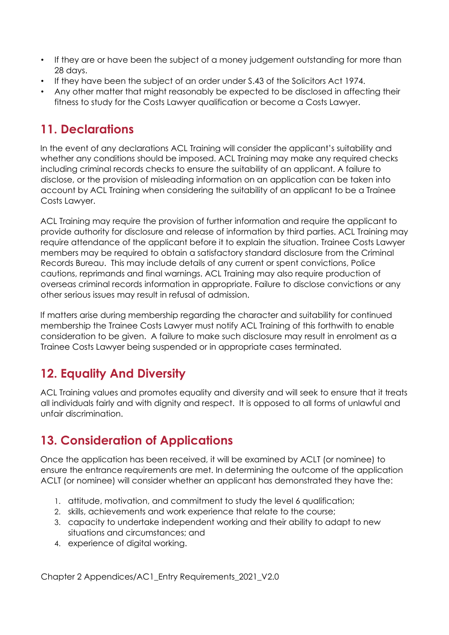- If they are or have been the subject of a money judgement outstanding for more than 28 days.
- If they have been the subject of an order under S.43 of the Solicitors Act 1974.
- Any other matter that might reasonably be expected to be disclosed in affecting their fitness to study for the Costs Lawyer qualification or become a Costs Lawyer.

## **11. Declarations**

In the event of any declarations ACL Training will consider the applicant's suitability and whether any conditions should be imposed. ACL Training may make any required checks including criminal records checks to ensure the suitability of an applicant. A failure to disclose, or the provision of misleading information on an application can be taken into account by ACL Training when considering the suitability of an applicant to be a Trainee Costs Lawyer.

ACL Training may require the provision of further information and require the applicant to provide authority for disclosure and release of information by third parties. ACL Training may require attendance of the applicant before it to explain the situation. Trainee Costs Lawyer members may be required to obtain a satisfactory standard disclosure from the Criminal Records Bureau. This may include details of any current or spent convictions, Police cautions, reprimands and final warnings. ACL Training may also require production of overseas criminal records information in appropriate. Failure to disclose convictions or any other serious issues may result in refusal of admission.

If matters arise during membership regarding the character and suitability for continued membership the Trainee Costs Lawyer must notify ACL Training of this forthwith to enable consideration to be given. A failure to make such disclosure may result in enrolment as a Trainee Costs Lawyer being suspended or in appropriate cases terminated.

## **12. Equality And Diversity**

ACL Training values and promotes equality and diversity and will seek to ensure that it treats all individuals fairly and with dignity and respect. It is opposed to all forms of unlawful and unfair discrimination.

## **13. Consideration of Applications**

Once the application has been received, it will be examined by ACLT (or nominee) to ensure the entrance requirements are met. In determining the outcome of the application ACLT (or nominee) will consider whether an applicant has demonstrated they have the:

- 1. attitude, motivation, and commitment to study the level 6 qualification;
- 2. skills, achievements and work experience that relate to the course;
- 3. capacity to undertake independent working and their ability to adapt to new situations and circumstances; and
- 4. experience of digital working.

Chapter 2 Appendices/AC1\_Entry Requirements\_2021\_V2.0